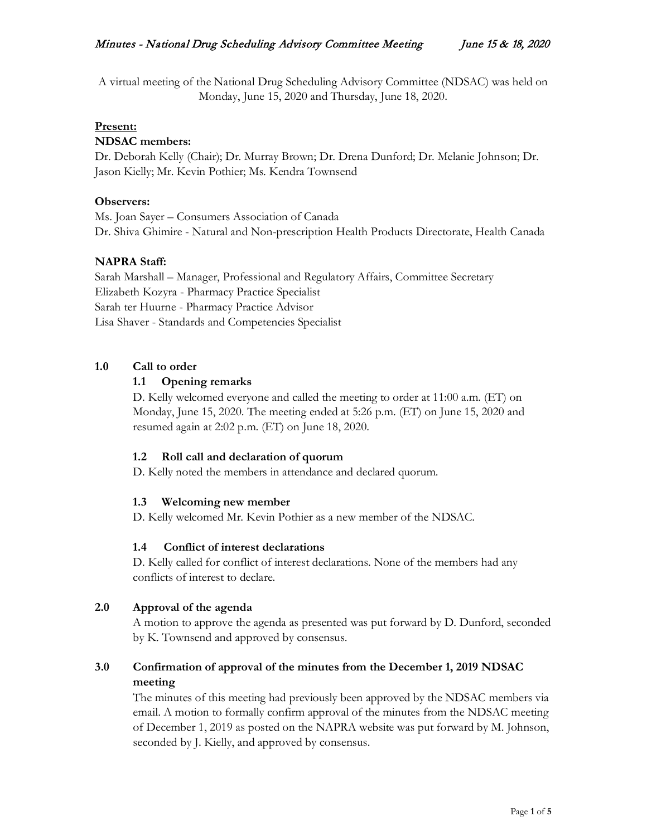A virtual meeting of the National Drug Scheduling Advisory Committee (NDSAC) was held on Monday, June 15, 2020 and Thursday, June 18, 2020.

#### **Present:**

#### **NDSAC members:**

Dr. Deborah Kelly (Chair); Dr. Murray Brown; Dr. Drena Dunford; Dr. Melanie Johnson; Dr. Jason Kielly; Mr. Kevin Pothier; Ms. Kendra Townsend

#### **Observers:**

Ms. Joan Sayer – Consumers Association of Canada Dr. Shiva Ghimire - Natural and Non-prescription Health Products Directorate, Health Canada

# **NAPRA Staff:**

Sarah Marshall – Manager, Professional and Regulatory Affairs, Committee Secretary Elizabeth Kozyra - Pharmacy Practice Specialist Sarah ter Huurne - Pharmacy Practice Advisor Lisa Shaver - Standards and Competencies Specialist

# **1.0 Call to order**

# **1.1 Opening remarks**

D. Kelly welcomed everyone and called the meeting to order at 11:00 a.m. (ET) on Monday, June 15, 2020. The meeting ended at 5:26 p.m. (ET) on June 15, 2020 and resumed again at 2:02 p.m. (ET) on June 18, 2020.

# **1.2 Roll call and declaration of quorum**

D. Kelly noted the members in attendance and declared quorum.

# **1.3 Welcoming new member**

D. Kelly welcomed Mr. Kevin Pothier as a new member of the NDSAC.

# **1.4 Conflict of interest declarations**

D. Kelly called for conflict of interest declarations. None of the members had any conflicts of interest to declare.

# **2.0 Approval of the agenda**

A motion to approve the agenda as presented was put forward by D. Dunford, seconded by K. Townsend and approved by consensus.

# **3.0 Confirmation of approval of the minutes from the December 1, 2019 NDSAC meeting**

The minutes of this meeting had previously been approved by the NDSAC members via email. A motion to formally confirm approval of the minutes from the NDSAC meeting of December 1, 2019 as posted on the NAPRA website was put forward by M. Johnson, seconded by J. Kielly, and approved by consensus.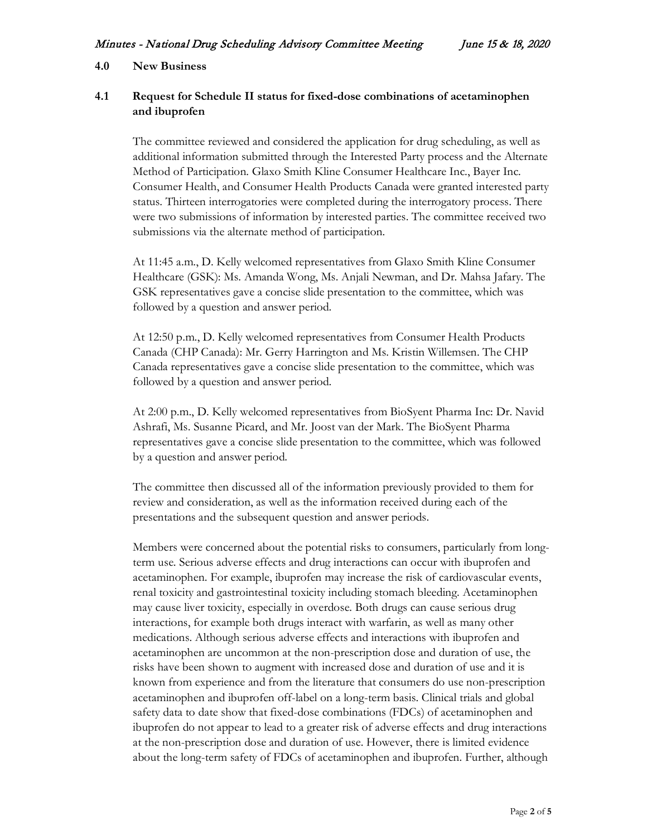#### **4.0 New Business**

# **4.1 Request for Schedule II status for fixed-dose combinations of acetaminophen and ibuprofen**

The committee reviewed and considered the application for drug scheduling, as well as additional information submitted through the Interested Party process and the Alternate Method of Participation. Glaxo Smith Kline Consumer Healthcare Inc., Bayer Inc. Consumer Health, and Consumer Health Products Canada were granted interested party status. Thirteen interrogatories were completed during the interrogatory process. There were two submissions of information by interested parties. The committee received two submissions via the alternate method of participation.

At 11:45 a.m., D. Kelly welcomed representatives from Glaxo Smith Kline Consumer Healthcare (GSK): Ms. Amanda Wong, Ms. Anjali Newman, and Dr. Mahsa Jafary. The GSK representatives gave a concise slide presentation to the committee, which was followed by a question and answer period.

At 12:50 p.m., D. Kelly welcomed representatives from Consumer Health Products Canada (CHP Canada): Mr. Gerry Harrington and Ms. Kristin Willemsen. The CHP Canada representatives gave a concise slide presentation to the committee, which was followed by a question and answer period.

At 2:00 p.m., D. Kelly welcomed representatives from BioSyent Pharma Inc: Dr. Navid Ashrafi, Ms. Susanne Picard, and Mr. Joost van der Mark. The BioSyent Pharma representatives gave a concise slide presentation to the committee, which was followed by a question and answer period.

The committee then discussed all of the information previously provided to them for review and consideration, as well as the information received during each of the presentations and the subsequent question and answer periods.

Members were concerned about the potential risks to consumers, particularly from longterm use. Serious adverse effects and drug interactions can occur with ibuprofen and acetaminophen. For example, ibuprofen may increase the risk of cardiovascular events, renal toxicity and gastrointestinal toxicity including stomach bleeding. Acetaminophen may cause liver toxicity, especially in overdose. Both drugs can cause serious drug interactions, for example both drugs interact with warfarin, as well as many other medications. Although serious adverse effects and interactions with ibuprofen and acetaminophen are uncommon at the non-prescription dose and duration of use, the risks have been shown to augment with increased dose and duration of use and it is known from experience and from the literature that consumers do use non-prescription acetaminophen and ibuprofen off-label on a long-term basis. Clinical trials and global safety data to date show that fixed-dose combinations (FDCs) of acetaminophen and ibuprofen do not appear to lead to a greater risk of adverse effects and drug interactions at the non-prescription dose and duration of use. However, there is limited evidence about the long-term safety of FDCs of acetaminophen and ibuprofen. Further, although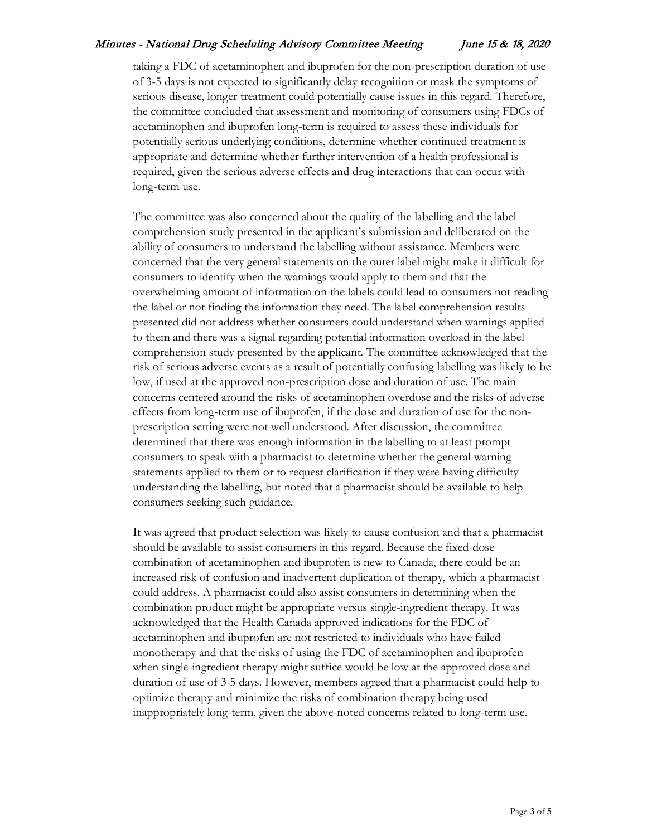# Minutes - National Drug Scheduling Advisory Committee Meeting June 15 & 18, 2020

taking a FDC of acetaminophen and ibuprofen for the non-prescription duration of use of 3-5 days is not expected to significantly delay recognition or mask the symptoms of serious disease, longer treatment could potentially cause issues in this regard. Therefore, the committee concluded that assessment and monitoring of consumers using FDCs of acetaminophen and ibuprofen long-term is required to assess these individuals for potentially serious underlying conditions, determine whether continued treatment is appropriate and determine whether further intervention of a health professional is required, given the serious adverse effects and drug interactions that can occur with long-term use.

The committee was also concerned about the quality of the labelling and the label comprehension study presented in the applicant's submission and deliberated on the ability of consumers to understand the labelling without assistance. Members were concerned that the very general statements on the outer label might make it difficult for consumers to identify when the warnings would apply to them and that the overwhelming amount of information on the labels could lead to consumers not reading the label or not finding the information they need. The label comprehension results presented did not address whether consumers could understand when warnings applied to them and there was a signal regarding potential information overload in the label comprehension study presented by the applicant. The committee acknowledged that the risk of serious adverse events as a result of potentially confusing labelling was likely to be low, if used at the approved non-prescription dose and duration of use. The main concerns centered around the risks of acetaminophen overdose and the risks of adverse effects from long-term use of ibuprofen, if the dose and duration of use for the nonprescription setting were not well understood. After discussion, the committee determined that there was enough information in the labelling to at least prompt consumers to speak with a pharmacist to determine whether the general warning statements applied to them or to request clarification if they were having difficulty understanding the labelling, but noted that a pharmacist should be available to help consumers seeking such guidance.

It was agreed that product selection was likely to cause confusion and that a pharmacist should be available to assist consumers in this regard. Because the fixed-dose combination of acetaminophen and ibuprofen is new to Canada, there could be an increased risk of confusion and inadvertent duplication of therapy, which a pharmacist could address. A pharmacist could also assist consumers in determining when the combination product might be appropriate versus single-ingredient therapy. It was acknowledged that the Health Canada approved indications for the FDC of acetaminophen and ibuprofen are not restricted to individuals who have failed monotherapy and that the risks of using the FDC of acetaminophen and ibuprofen when single-ingredient therapy might suffice would be low at the approved dose and duration of use of 3-5 days. However, members agreed that a pharmacist could help to optimize therapy and minimize the risks of combination therapy being used inappropriately long-term, given the above-noted concerns related to long-term use.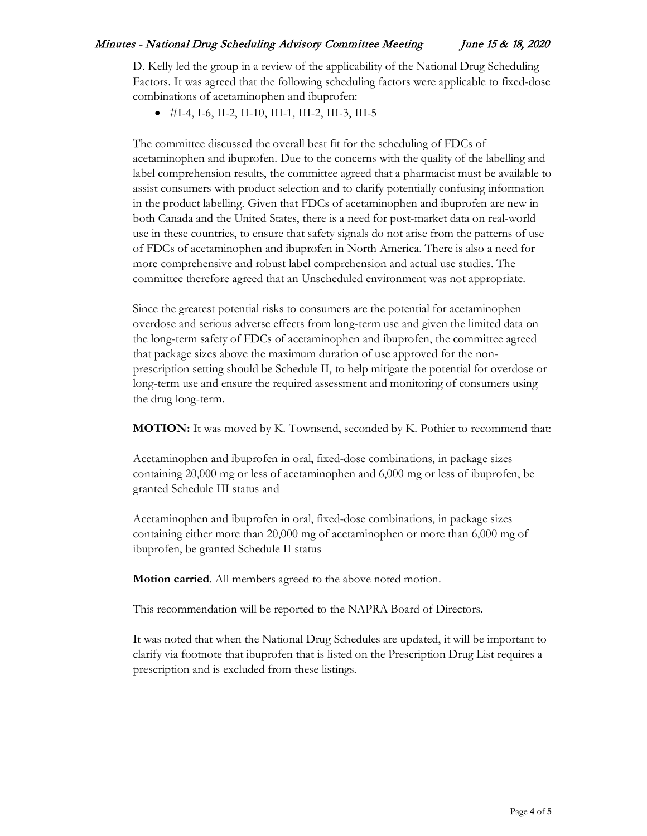D. Kelly led the group in a review of the applicability of the National Drug Scheduling Factors. It was agreed that the following scheduling factors were applicable to fixed-dose combinations of acetaminophen and ibuprofen:

 $\bullet$  #I-4, I-6, II-2, II-10, III-1, III-2, III-3, III-5

The committee discussed the overall best fit for the scheduling of FDCs of acetaminophen and ibuprofen. Due to the concerns with the quality of the labelling and label comprehension results, the committee agreed that a pharmacist must be available to assist consumers with product selection and to clarify potentially confusing information in the product labelling. Given that FDCs of acetaminophen and ibuprofen are new in both Canada and the United States, there is a need for post-market data on real-world use in these countries, to ensure that safety signals do not arise from the patterns of use of FDCs of acetaminophen and ibuprofen in North America. There is also a need for more comprehensive and robust label comprehension and actual use studies. The committee therefore agreed that an Unscheduled environment was not appropriate.

Since the greatest potential risks to consumers are the potential for acetaminophen overdose and serious adverse effects from long-term use and given the limited data on the long-term safety of FDCs of acetaminophen and ibuprofen, the committee agreed that package sizes above the maximum duration of use approved for the nonprescription setting should be Schedule II, to help mitigate the potential for overdose or long-term use and ensure the required assessment and monitoring of consumers using the drug long-term.

**MOTION:** It was moved by K. Townsend, seconded by K. Pothier to recommend that:

Acetaminophen and ibuprofen in oral, fixed-dose combinations, in package sizes containing 20,000 mg or less of acetaminophen and 6,000 mg or less of ibuprofen, be granted Schedule III status and

Acetaminophen and ibuprofen in oral, fixed-dose combinations, in package sizes containing either more than 20,000 mg of acetaminophen or more than 6,000 mg of ibuprofen, be granted Schedule II status

**Motion carried**. All members agreed to the above noted motion.

This recommendation will be reported to the NAPRA Board of Directors.

It was noted that when the National Drug Schedules are updated, it will be important to clarify via footnote that ibuprofen that is listed on the Prescription Drug List requires a prescription and is excluded from these listings.